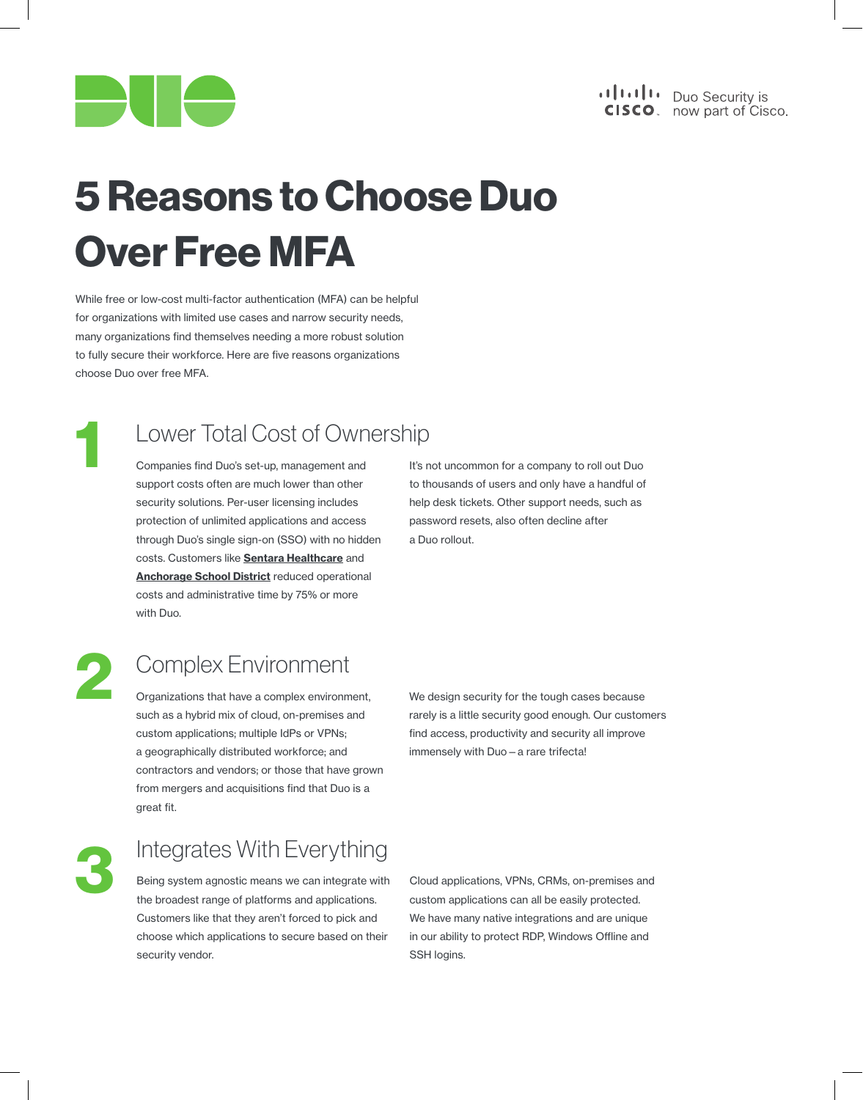



# 5 Reasons to Choose Duo Over Free MFA

While free or low-cost multi-factor authentication (MFA) can be helpful for organizations with limited use cases and narrow security needs, many organizations find themselves needing a more robust solution to fully secure their workforce. Here are five reasons organizations choose Duo over free MFA.

1

#### Lower Total Cost of Ownership

Companies find Duo's set-up, management and support costs often are much lower than other security solutions. Per-user licensing includes protection of unlimited applications and access through Duo's single sign-on (SSO) with no hidden costs. Customers like Sentara Healthcare and **Anchorage School District** reduced operational costs and administrative time by 75% or more with Duo.

It's not uncommon for a company to roll out Duo to thousands of users and only have a handful of help desk tickets. Other support needs, such as password resets, also often decline after a Duo rollout.

2

## Complex Environment

Organizations that have a complex environment, such as a hybrid mix of cloud, on-premises and custom applications; multiple IdPs or VPNs; a geographically distributed workforce; and contractors and vendors; or those that have grown from mergers and acquisitions find that Duo is a great fit.

We design security for the tough cases because rarely is a little security good enough. Our customers find access, productivity and security all improve immensely with Duo—a rare trifecta!

## Integrates With Everything

Being system agnostic means we can integrate with the broadest range of platforms and applications. Customers like that they aren't forced to pick and choose which applications to secure based on their security vendor.

Cloud applications, VPNs, CRMs, on-premises and custom applications can all be easily protected. We have many native integrations and are unique in our ability to protect RDP, Windows Offline and SSH logins.